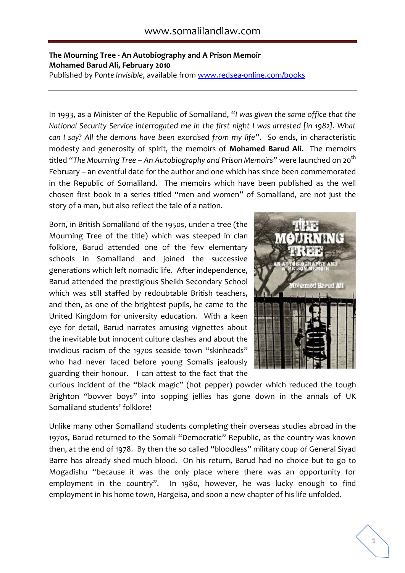## **The Mourning Tree - An Autobiography and A Prison Memoir Mohamed Barud Ali, February 2010**

Published by *Ponte Invisible*, available from [www.redsea-online.com/books](http://www.redsea-online.com/books)

In 1993, as a Minister of the Republic of Somaliland, "*I was given the same office that the National Security Service interrogated me in the first night I was arrested [in 1982]. What can I say? All the demons have been exorcised from my life*". So ends, in characteristic modesty and generosity of spirit, the memoirs of **Mohamed Barud Ali.** The memoirs titled "*The Mourning Tree – An Autobiography and Prison Memoirs*" were launched on 20th February – an eventful date for the author and one which has since been commemorated in the Republic of Somaliland. The memoirs which have been published as the well chosen first book in a series titled "men and women" of Somaliland, are not just the story of a man, but also reflect the tale of a nation.

Born, in British Somaliland of the 1950s, under a tree (the Mourning Tree of the title) which was steeped in clan folklore, Barud attended one of the few elementary schools in Somaliland and joined the successive generations which left nomadic life. After independence, Barud attended the prestigious Sheikh Secondary School which was still staffed by redoubtable British teachers, and then, as one of the brightest pupils, he came to the United Kingdom for university education. With a keen eye for detail, Barud narrates amusing vignettes about the inevitable but innocent culture clashes and about the invidious racism of the 1970s seaside town "skinheads" who had never faced before young Somalis jealously guarding their honour. I can attest to the fact that the



curious incident of the "black magic" (hot pepper) powder which reduced the tough Brighton "bovver boys" into sopping jellies has gone down in the annals of UK Somaliland students' folklore!

Unlike many other Somaliland students completing their overseas studies abroad in the 1970s, Barud returned to the Somali "Democratic" Republic, as the country was known then, at the end of 1978. By then the so called "bloodless" military coup of General Siyad Barre has already shed much blood. On his return, Barud had no choice but to go to Mogadishu "because it was the only place where there was an opportunity for employment in the country". In 1980, however, he was lucky enough to find employment in his home town, Hargeisa, and soon a new chapter of his life unfolded.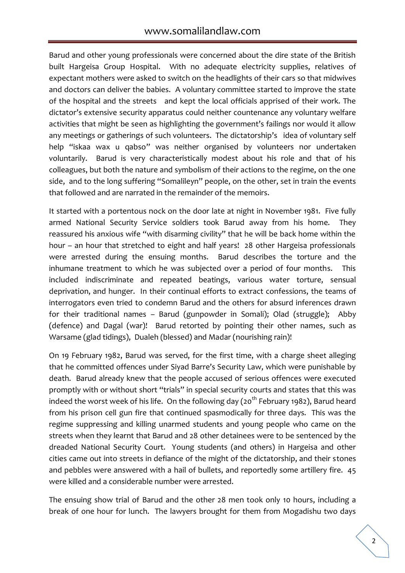Barud and other young professionals were concerned about the dire state of the British built Hargeisa Group Hospital. With no adequate electricity supplies, relatives of expectant mothers were asked to switch on the headlights of their cars so that midwives and doctors can deliver the babies. A voluntary committee started to improve the state of the hospital and the streets and kept the local officials apprised of their work. The dictator's extensive security apparatus could neither countenance any voluntary welfare activities that might be seen as highlighting the government's failings nor would it allow any meetings or gatherings of such volunteers. The dictatorship's idea of voluntary self help "iskaa wax u qabso" was neither organised by volunteers nor undertaken voluntarily. Barud is very characteristically modest about his role and that of his colleagues, but both the nature and symbolism of their actions to the regime, on the one side, and to the long suffering "Somalileyn" people, on the other, set in train the events that followed and are narrated in the remainder of the memoirs.

It started with a portentous nock on the door late at night in November 1981. Five fully armed National Security Service soldiers took Barud away from his home. They reassured his anxious wife "with disarming civility" that he will be back home within the hour – an hour that stretched to eight and half years! 28 other Hargeisa professionals were arrested during the ensuing months. Barud describes the torture and the inhumane treatment to which he was subjected over a period of four months. This included indiscriminate and repeated beatings, various water torture, sensual deprivation, and hunger. In their continual efforts to extract confessions, the teams of interrogators even tried to condemn Barud and the others for absurd inferences drawn for their traditional names – Barud (gunpowder in Somali); Olad (struggle); Abby (defence) and Dagal (war)! Barud retorted by pointing their other names, such as Warsame (glad tidings), Dualeh (blessed) and Madar (nourishing rain)!

On 19 February 1982, Barud was served, for the first time, with a charge sheet alleging that he committed offences under Siyad Barre's Security Law, which were punishable by death. Barud already knew that the people accused of serious offences were executed promptly with or without short "trials" in special security courts and states that this was indeed the worst week of his life. On the following day ( $20<sup>th</sup>$  February 1982), Barud heard from his prison cell gun fire that continued spasmodically for three days. This was the regime suppressing and killing unarmed students and young people who came on the streets when they learnt that Barud and 28 other detainees were to be sentenced by the dreaded National Security Court. Young students (and others) in Hargeisa and other cities came out into streets in defiance of the might of the dictatorship, and their stones and pebbles were answered with a hail of bullets, and reportedly some artillery fire. 45 were killed and a considerable number were arrested.

The ensuing show trial of Barud and the other 28 men took only 10 hours, including a break of one hour for lunch. The lawyers brought for them from Mogadishu two days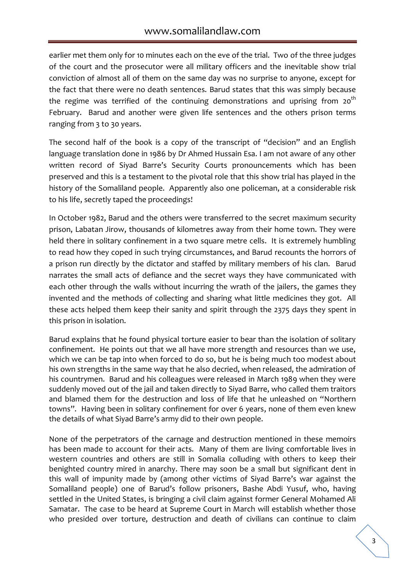earlier met them only for 10 minutes each on the eve of the trial. Two of the three judges of the court and the prosecutor were all military officers and the inevitable show trial conviction of almost all of them on the same day was no surprise to anyone, except for the fact that there were no death sentences. Barud states that this was simply because the regime was terrified of the continuing demonstrations and uprising from  $20^{th}$ February. Barud and another were given life sentences and the others prison terms ranging from 3 to 30 years.

The second half of the book is a copy of the transcript of "decision" and an English language translation done in 1986 by Dr Ahmed Hussain Esa. I am not aware of any other written record of Siyad Barre's Security Courts pronouncements which has been preserved and this is a testament to the pivotal role that this show trial has played in the history of the Somaliland people. Apparently also one policeman, at a considerable risk to his life, secretly taped the proceedings!

In October 1982, Barud and the others were transferred to the secret maximum security prison, Labatan Jirow, thousands of kilometres away from their home town. They were held there in solitary confinement in a two square metre cells. It is extremely humbling to read how they coped in such trying circumstances, and Barud recounts the horrors of a prison run directly by the dictator and staffed by military members of his clan. Barud narrates the small acts of defiance and the secret ways they have communicated with each other through the walls without incurring the wrath of the jailers, the games they invented and the methods of collecting and sharing what little medicines they got. All these acts helped them keep their sanity and spirit through the 2375 days they spent in this prison in isolation.

Barud explains that he found physical torture easier to bear than the isolation of solitary confinement. He points out that we all have more strength and resources than we use, which we can be tap into when forced to do so, but he is being much too modest about his own strengths in the same way that he also decried, when released, the admiration of his countrymen. Barud and his colleagues were released in March 1989 when they were suddenly moved out of the jail and taken directly to Siyad Barre, who called them traitors and blamed them for the destruction and loss of life that he unleashed on "Northern towns". Having been in solitary confinement for over 6 years, none of them even knew the details of what Siyad Barre's army did to their own people.

None of the perpetrators of the carnage and destruction mentioned in these memoirs has been made to account for their acts. Many of them are living comfortable lives in western countries and others are still in Somalia colluding with others to keep their benighted country mired in anarchy. There may soon be a small but significant dent in this wall of impunity made by (among other victims of Siyad Barre's war against the Somaliland people) one of Barud's follow prisoners, Bashe Abdi Yusuf, who, having settled in the United States, is bringing a civil claim against former General Mohamed Ali Samatar. The case to be heard at Supreme Court in March will establish whether those who presided over torture, destruction and death of civilians can continue to claim